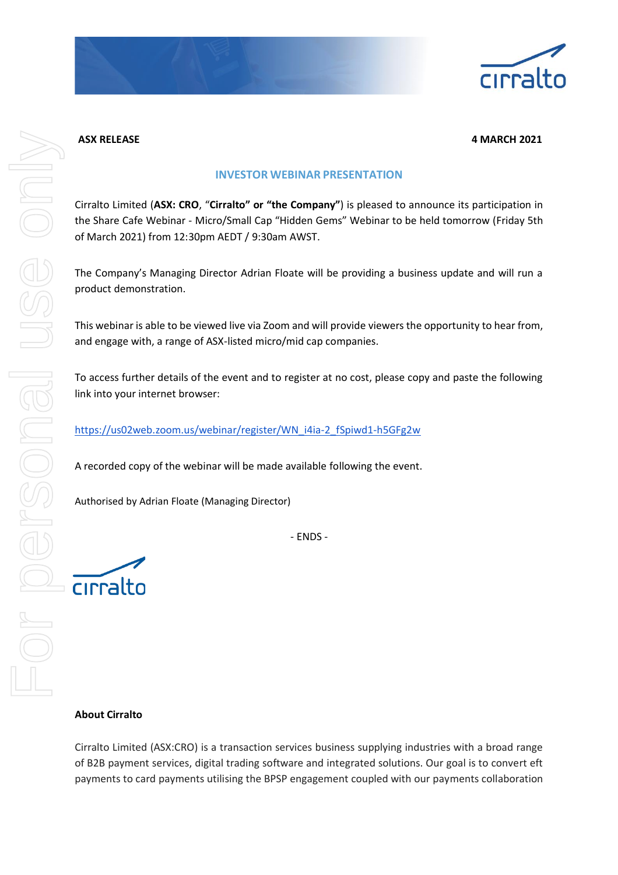

### **ASX RELEASE 4 MARCH 2021**

# **INVESTOR WEBINAR PRESENTATION**

Cirralto Limited (**ASX: CRO**, "**Cirralto" or "the Company"**) is pleased to announce its participation in the Share Cafe Webinar - Micro/Small Cap "Hidden Gems" Webinar to be held tomorrow (Friday 5th of March 2021) from 12:30pm AEDT / 9:30am AWST.

The Company's Managing Director Adrian Floate will be providing a business update and will run a product demonstration.

This webinar is able to be viewed live via Zoom and will provide viewers the opportunity to hear from, and engage with, a range of ASX-listed micro/mid cap companies.

To access further details of the event and to register at no cost, please copy and paste the following link into your internet browser:

# [https://us02web.zoom.us/webinar/register/WN\\_i4ia-2\\_fSpiwd1-h5GFg2w](https://us02web.zoom.us/webinar/register/WN_i4ia-2_fSpiwd1-h5GFg2w)

A recorded copy of the webinar will be made available following the event.

Authorised by Adrian Floate (Managing Director)

- ENDS -

cirralto

## **About Cirralto**

Cirralto Limited (ASX:CRO) is a transaction services business supplying industries with a broad range of B2B payment services, digital trading software and integrated solutions. Our goal is to convert eft payments to card payments utilising the BPSP engagement coupled with our payments collaboration